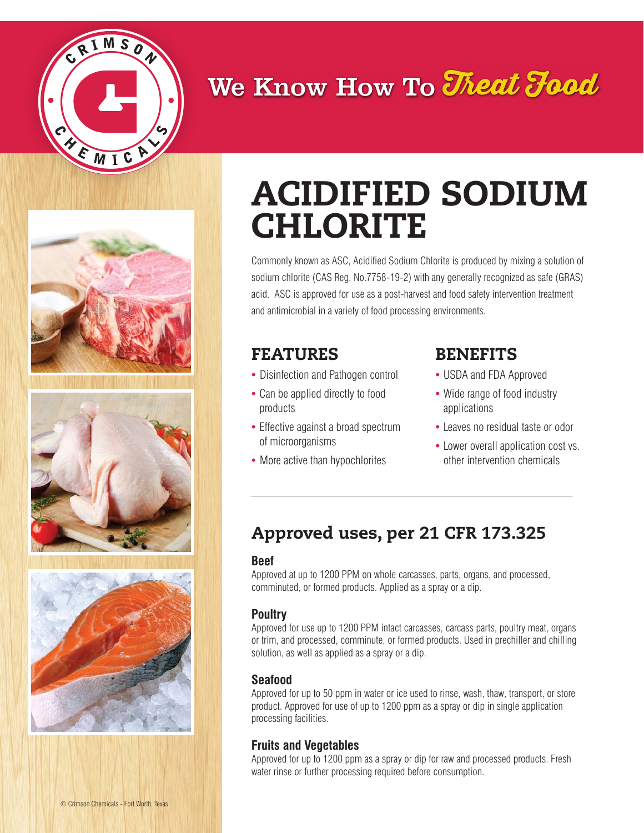

## We Know How To Theat Food







# ACIDIFIED SODIUM CHLORITE

Commonly known as ASC, Acidified Sodium Chlorite is produced by mixing a solution of sodium chlorite (CAS Reg. No.7758-19-2) with any generally recognized as safe (GRAS) acid. ASC is approved for use as a post-harvest and food safety intervention treatment and antimicrobial in a variety of food processing environments.

### FEATURES

- Disinfection and Pathogen control
- Can be applied directly to food products
- Effective against a broad spectrum of microorganisms
- More active than hypochlorites

## BENEFITS

- USDA and FDA Approved
- Wide range of food industry applications
- Leaves no residual taste or odor
- Lower overall application cost vs. other intervention chemicals

## Approved uses, per 21 CFR 173.325

#### **Beef**

Approved at up to 1200 PPM on whole carcasses, parts, organs, and processed, comminuted, or formed products. Applied as a spray or a dip.

#### **Poultry**

Approved for use up to 1200 PPM intact carcasses, carcass parts, poultry meat, organs or trim, and processed, comminute, or formed products. Used in prechiller and chilling solution, as well as applied as a spray or a dip.

#### **Seafood**

Approved for up to 50 ppm in water or ice used to rinse, wash, thaw, transport, or store product. Approved for use of up to 1200 ppm as a spray or dip in single application processing facilities.

#### **Fruits and Vegetables**

Approved for up to 1200 ppm as a spray or dip for raw and processed products. Fresh water rinse or further processing required before consumption.